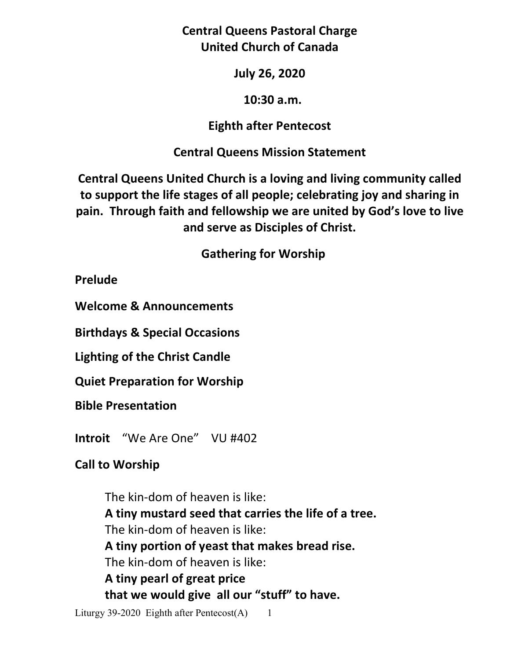**Central Queens Pastoral Charge United Church of Canada** 

**July 26, 2020** 

### **10:30 a.m.**

## **Eighth after Pentecost**

## **Central Queens Mission Statement**

**Central Queens United Church is a loving and living community called to support the life stages of all people; celebrating joy and sharing in pain. Through faith and fellowship we are united by God's love to live and serve as Disciples of Christ.**

 **Gathering for Worship** 

**Prelude** 

**Welcome & Announcements** 

**Birthdays & Special Occasions** 

**Lighting of the Christ Candle** 

**Quiet Preparation for Worship** 

**Bible Presentation** 

**Introit** "We Are One" VU #402

# **Call to Worship**

 The kin-dom of heaven is like:  **A tiny mustard seed that carries the life of a tree.** The kin-dom of heaven is like:  **A tiny portion of yeast that makes bread rise.** The kin-dom of heaven is like:  **A tiny pearl of great price that we would give all our "stuff" to have.**

Liturgy 39-2020 Eighth after Pentecost $(A)$  1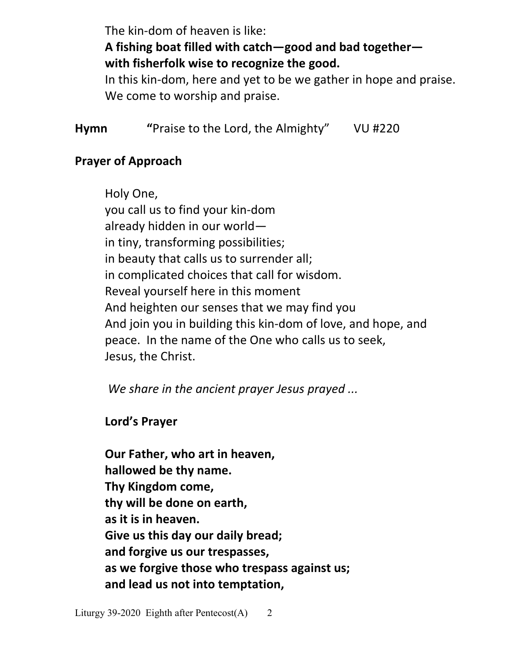The kin-dom of heaven is like:

# **A fishing boat filled with catch—good and bad together with fisherfolk wise to recognize the good.**

In this kin-dom, here and yet to be we gather in hope and praise. We come to worship and praise.

**Hymn "**Praise to the Lord, the Almighty"VU #220

## **Prayer of Approach**

 Holy One, you call us to find your kin-dom already hidden in our world in tiny, transforming possibilities; in beauty that calls us to surrender all; in complicated choices that call for wisdom. Reveal yourself here in this moment And heighten our senses that we may find you And join you in building this kin-dom of love, and hope, and peace. In the name of the One who calls us to seek, Jesus, the Christ.

*We share in the ancient prayer Jesus prayed ...* 

 **Lord's Prayer** 

**Our Father, who art in heaven, hallowed be thy name. Thy Kingdom come, thy will be done on earth, as it is in heaven. Give us this day our daily bread; and forgive us our trespasses, as we forgive those who trespass against us; and lead us not into temptation,**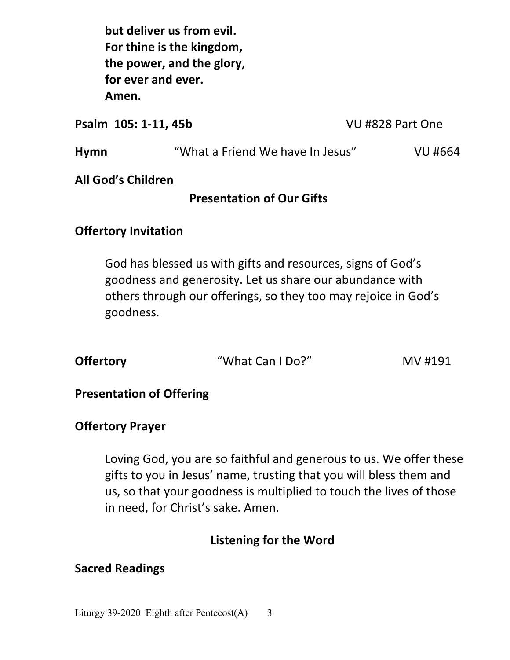**but deliver us from evil. For thine is the kingdom, the power, and the glory, for ever and ever. Amen.**

**Psalm 105: 1-11, 45b** VU #828 Part One

| <b>Hymn</b> | "What a Friend We have In Jesus" | VU #664 |
|-------------|----------------------------------|---------|
|-------------|----------------------------------|---------|

**All God's Children** 

### **Presentation of Our Gifts**

## **Offertory Invitation**

God has blessed us with gifts and resources, signs of God's goodness and generosity. Let us share our abundance with others through our offerings, so they too may rejoice in God's goodness.

| <b>Offertory</b> | "What Can I Do?" | MV #191 |
|------------------|------------------|---------|
|                  |                  |         |

### **Presentation of Offering**

#### **Offertory Prayer**

 Loving God, you are so faithful and generous to us. We offer these gifts to you in Jesus' name, trusting that you will bless them and us, so that your goodness is multiplied to touch the lives of those in need, for Christ's sake. Amen.

### **Listening for the Word**

### **Sacred Readings**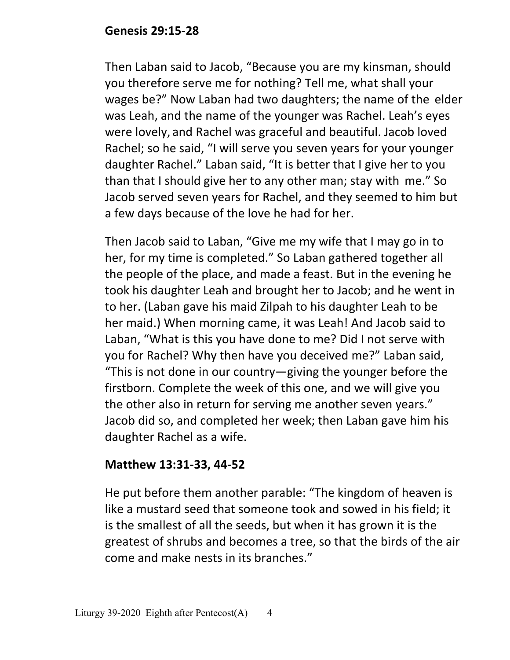## **Genesis 29:15-28**

Then Laban said to Jacob, "Because you are my kinsman, should you therefore serve me for nothing? Tell me, what shall your wages be?" Now Laban had two daughters; the name of the elder was Leah, and the name of the younger was Rachel. Leah's eyes were lovely, and Rachel was graceful and beautiful. Jacob loved Rachel; so he said, "I will serve you seven years for your younger daughter Rachel." Laban said, "It is better that I give her to you than that I should give her to any other man; stay with me." So Jacob served seven years for Rachel, and they seemed to him but a few days because of the love he had for her.

Then Jacob said to Laban, "Give me my wife that I may go in to her, for my time is completed." So Laban gathered together all the people of the place, and made a feast. But in the evening he took his daughter Leah and brought her to Jacob; and he went in to her. (Laban gave his maid Zilpah to his daughter Leah to be her maid.) When morning came, it was Leah! And Jacob said to Laban, "What is this you have done to me? Did I not serve with you for Rachel? Why then have you deceived me?" Laban said, "This is not done in our country—giving the younger before the firstborn. Complete the week of this one, and we will give you the other also in return for serving me another seven years." Jacob did so, and completed her week; then Laban gave him his daughter Rachel as a wife.

## **Matthew 13:31-33, 44-52**

He put before them another parable: "The kingdom of heaven is like a mustard seed that someone took and sowed in his field; it is the smallest of all the seeds, but when it has grown it is the greatest of shrubs and becomes a tree, so that the birds of the air come and make nests in its branches."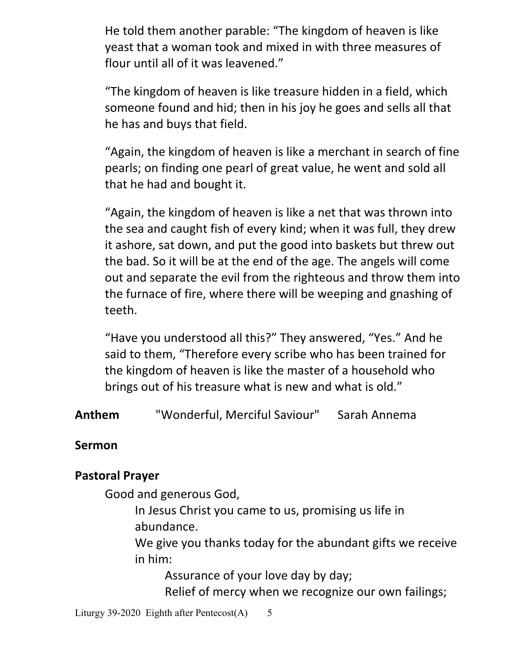He told them another parable: "The kingdom of heaven is like yeast that a woman took and mixed in with three measures of flour until all of it was leavened."

"The kingdom of heaven is like treasure hidden in a field, which someone found and hid; then in his joy he goes and sells all that he has and buys that field.

"Again, the kingdom of heaven is like a merchant in search of fine pearls; on finding one pearl of great value, he went and sold all that he had and bought it.

"Again, the kingdom of heaven is like a net that was thrown into the sea and caught fish of every kind; when it was full, they drew it ashore, sat down, and put the good into baskets but threw out the bad. So it will be at the end of the age. The angels will come out and separate the evil from the righteous and throw them into the furnace of fire, where there will be weeping and gnashing of teeth.

"Have you understood all this?" They answered, "Yes." And he said to them, "Therefore every scribe who has been trained for the kingdom of heaven is like the master of a household who brings out of his treasure what is new and what is old."

**Anthem** "Wonderful, Merciful Saviour"Sarah Annema

## **Sermon**

## **Pastoral Prayer**

Good and generous God,

 In Jesus Christ you came to us, promising us life in abundance.

 We give you thanks today for the abundant gifts we receive in him:

 Assurance of your love day by day; Relief of mercy when we recognize our own failings;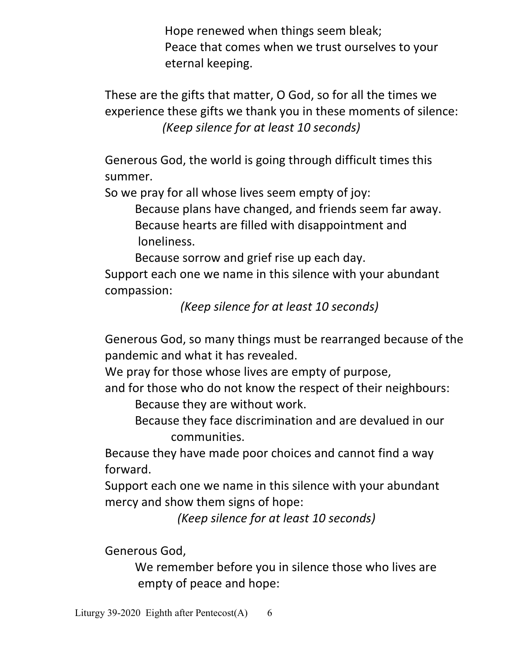Hope renewed when things seem bleak; Peace that comes when we trust ourselves to your eternal keeping.

 These are the gifts that matter, O God, so for all the times we experience these gifts we thank you in these moments of silence:  *(Keep silence for at least 10 seconds)* 

 Generous God, the world is going through difficult times this summer.

So we pray for all whose lives seem empty of joy:

 Because plans have changed, and friends seem far away. Because hearts are filled with disappointment and loneliness.

Because sorrow and grief rise up each day.

 Support each one we name in this silence with your abundant compassion:

 *(Keep silence for at least 10 seconds)* 

 Generous God, so many things must be rearranged because of the pandemic and what it has revealed.

We pray for those whose lives are empty of purpose,

and for those who do not know the respect of their neighbours:

Because they are without work.

 Because they face discrimination and are devalued in our communities.

Because they have made poor choices and cannot find a way forward.

 Support each one we name in this silence with your abundant mercy and show them signs of hope:

 *(Keep silence for at least 10 seconds)* 

Generous God,

 We remember before you in silence those who lives are empty of peace and hope: